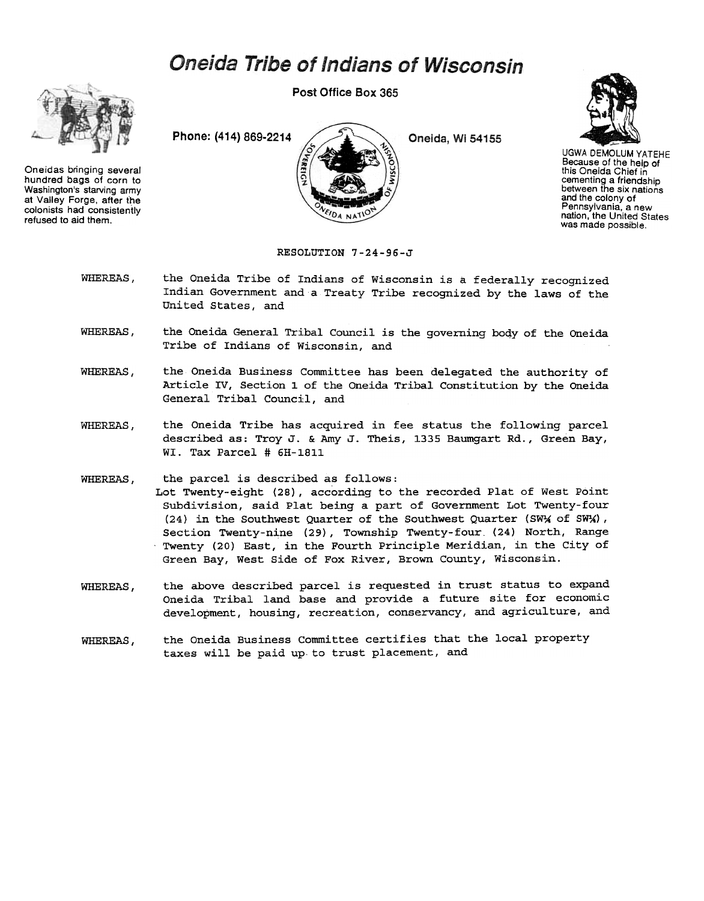## **Oneida Tribe of Indians of Wisconsin**



Oneidas bringing several hundred bags of corn to Washington's starving army at Valley Forge. after the colonists had consistently refused to aid them.

Post Office Box 365



Oneida, Wi 54155



UGWA DEMOLUM YATEHE Because of the help of this Oneida Chief in cementing a friendship between the six nations and the colony of Pennsylvania, a new nation, the United States was made possible.

## RESOLUTION 7-24-96-J

- WHEREAS, the Oneida Tribe of Indians of Wisconsin is a federally recognized Indian Government and a Treaty Tribe recognized by the laws of the United States, and
- WHEREAS, the Oneida General Tribal Council is the governing body of the Oneida Tribe of Indians of Wisconsin, and
- WHEREAS, the Oneida Business Committee has been delegated the authority of Article IV, Section 1 of the Oneida Tribal Constitution by the Oneida General Tribal Council, and
- WHEREAS, the Oneida Tribe has acquired in fee status the following parcel described as: Troy J. & Amy J. Theis, 1335 Baumgart Rd., Green Bay, WI. Tax Parcel # 6H-1811
- WHEREAS, the parcel is described as follows: Lot Twenty-eight (28), according to the recorded Plat of West Point Subdivision, said Plat being a part of Government Lot Twenty-four (24) in the Southwest Quarter of the Southwest Quarter (SW $\frac{1}{N}$  of SW $\frac{1}{N}$ ), Section Twenty-nine (29), Township Twenty-four (24) North, Range .Twenty (20) East, in the Fourth Principle Meridian, in the City of Green Bay, West Side of Fox River, Brown County, Wisconsin.
- the above described parcel is requested in trust status to expand Oneida Tribal land base and provide a future site for economic development, housing, recreation, conservancy, and agriculture, and WHEREAS,
- the Oneida Business Committee certifies that the local property taxes will be paid up to trust placement, and WHEREAS,